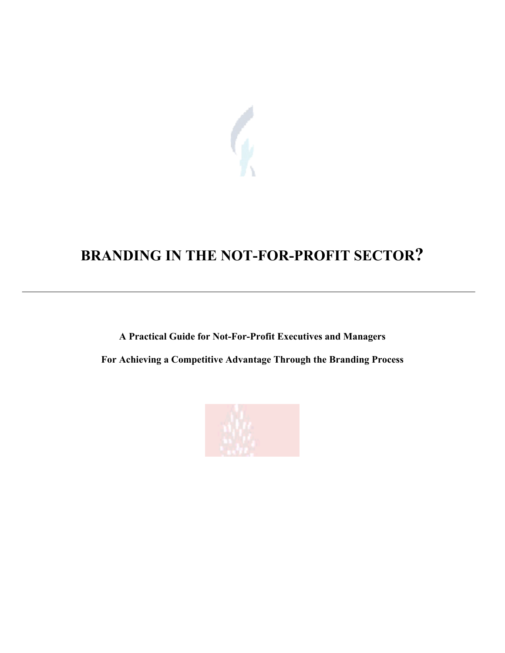

# **BRANDING IN THE NOT-FOR-PROFIT SECTOR?**

**A Practical Guide for Not-For-Profit Executives and Managers For Achieving a Competitive Advantage Through the Branding Process**

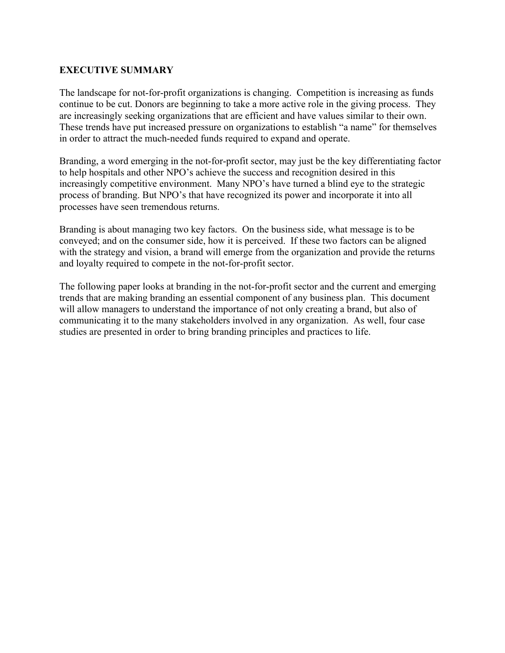## **EXECUTIVE SUMMARY**

The landscape for not-for-profit organizations is changing. Competition is increasing as funds continue to be cut. Donors are beginning to take a more active role in the giving process. They are increasingly seeking organizations that are efficient and have values similar to their own. These trends have put increased pressure on organizations to establish "a name" for themselves in order to attract the much-needed funds required to expand and operate.

Branding, a word emerging in the not-for-profit sector, may just be the key differentiating factor to help hospitals and other NPO's achieve the success and recognition desired in this increasingly competitive environment. Many NPO's have turned a blind eye to the strategic process of branding. But NPO's that have recognized its power and incorporate it into all processes have seen tremendous returns.

Branding is about managing two key factors. On the business side, what message is to be conveyed; and on the consumer side, how it is perceived. If these two factors can be aligned with the strategy and vision, a brand will emerge from the organization and provide the returns and loyalty required to compete in the not-for-profit sector.

The following paper looks at branding in the not-for-profit sector and the current and emerging trends that are making branding an essential component of any business plan. This document will allow managers to understand the importance of not only creating a brand, but also of communicating it to the many stakeholders involved in any organization. As well, four case studies are presented in order to bring branding principles and practices to life.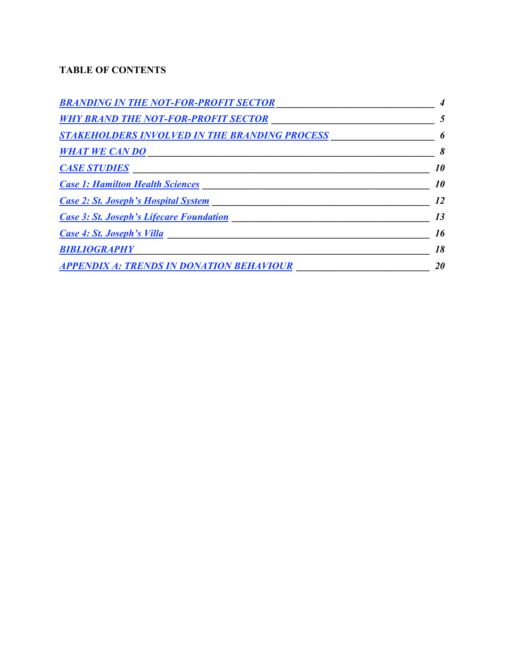# **TABLE OF CONTENTS**

| <b>BRANDING IN THE NOT-FOR-PROFIT SECTOR</b>         |           |
|------------------------------------------------------|-----------|
| <b>WHY BRAND THE NOT-FOR-PROFIT SECTOR</b>           | 5         |
| <b>STAKEHOLDERS INVOLVED IN THE BRANDING PROCESS</b> | 6         |
| <b>WHAT WE CAN DO</b>                                | 8         |
| <b>CASE STUDIES</b>                                  | <i>10</i> |
| <b>Case 1: Hamilton Health Sciences</b>              | <i>10</i> |
| <b>Case 2: St. Joseph's Hospital System</b>          | 12        |
| <b>Case 3: St. Joseph's Lifecare Foundation</b>      | 13        |
| Case 4: St. Joseph's Villa                           | 16        |
| <b>BIBLIOGRAPHY</b>                                  | 18        |
| <b>APPENDIX A: TRENDS IN DONATION BEHAVIOUR</b>      | <i>20</i> |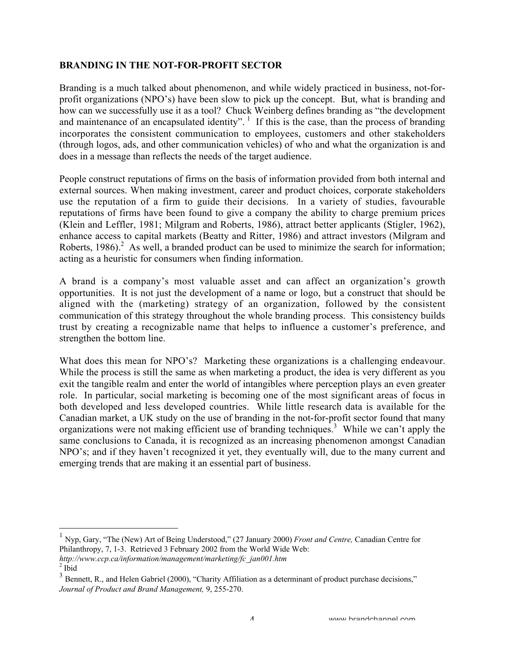## **BRANDING IN THE NOT-FOR-PROFIT SECTOR**

Branding is a much talked about phenomenon, and while widely practiced in business, not-forprofit organizations (NPO's) have been slow to pick up the concept. But, what is branding and how can we successfully use it as a tool? Chuck Weinberg defines branding as "the development and maintenance of an encapsulated identity".  $\frac{1}{1}$  If this is the case, than the process of branding incorporates the consistent communication to employees, customers and other stakeholders (through logos, ads, and other communication vehicles) of who and what the organization is and does in a message than reflects the needs of the target audience.

People construct reputations of firms on the basis of information provided from both internal and external sources. When making investment, career and product choices, corporate stakeholders use the reputation of a firm to guide their decisions. In a variety of studies, favourable reputations of firms have been found to give a company the ability to charge premium prices (Klein and Leffler, 1981; Milgram and Roberts, 1986), attract better applicants (Stigler, 1962), enhance access to capital markets (Beatty and Ritter, 1986) and attract investors (Milgram and Roberts, 1986).<sup>2</sup> As well, a branded product can be used to minimize the search for information; acting as a heuristic for consumers when finding information.

A brand is a company's most valuable asset and can affect an organization's growth opportunities. It is not just the development of a name or logo, but a construct that should be aligned with the (marketing) strategy of an organization, followed by the consistent communication of this strategy throughout the whole branding process. This consistency builds trust by creating a recognizable name that helps to influence a customer's preference, and strengthen the bottom line.

What does this mean for NPO's? Marketing these organizations is a challenging endeavour. While the process is still the same as when marketing a product, the idea is very different as you exit the tangible realm and enter the world of intangibles where perception plays an even greater role. In particular, social marketing is becoming one of the most significant areas of focus in both developed and less developed countries. While little research data is available for the Canadian market, a UK study on the use of branding in the not-for-profit sector found that many organizations were not making efficient use of branding techniques.<sup>3</sup> While we can't apply the same conclusions to Canada, it is recognized as an increasing phenomenon amongst Canadian NPO's; and if they haven't recognized it yet, they eventually will, due to the many current and emerging trends that are making it an essential part of business.

*http://www.ccp.ca/information/management/marketing/fc\_jan001.htm*  $2$  Ibid

 <sup>1</sup> Nyp, Gary, "The (New) Art of Being Understood," (27 January 2000) *Front and Centre,* Canadian Centre for Philanthropy, 7, 1-3. Retrieved 3 February 2002 from the World Wide Web:

<sup>&</sup>lt;sup>3</sup> Bennett, R., and Helen Gabriel (2000), "Charity Affiliation as a determinant of product purchase decisions," *Journal of Product and Brand Management,* 9, 255-270.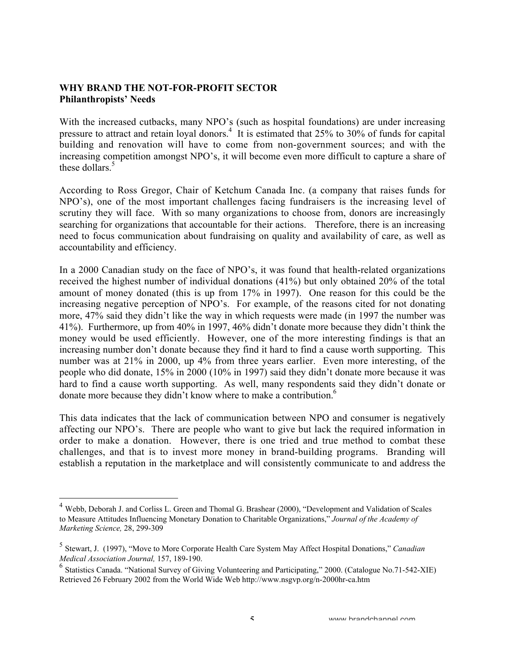#### **WHY BRAND THE NOT-FOR-PROFIT SECTOR Philanthropists' Needs**

With the increased cutbacks, many NPO's (such as hospital foundations) are under increasing pressure to attract and retain loyal donors.<sup>4</sup> It is estimated that  $25\%$  to  $30\%$  of funds for capital building and renovation will have to come from non-government sources; and with the increasing competition amongst NPO's, it will become even more difficult to capture a share of these dollars. $5$ 

According to Ross Gregor, Chair of Ketchum Canada Inc. (a company that raises funds for NPO's), one of the most important challenges facing fundraisers is the increasing level of scrutiny they will face. With so many organizations to choose from, donors are increasingly searching for organizations that accountable for their actions. Therefore, there is an increasing need to focus communication about fundraising on quality and availability of care, as well as accountability and efficiency.

In a 2000 Canadian study on the face of NPO's, it was found that health-related organizations received the highest number of individual donations (41%) but only obtained 20% of the total amount of money donated (this is up from 17% in 1997). One reason for this could be the increasing negative perception of NPO's. For example, of the reasons cited for not donating more, 47% said they didn't like the way in which requests were made (in 1997 the number was 41%). Furthermore, up from 40% in 1997, 46% didn't donate more because they didn't think the money would be used efficiently. However, one of the more interesting findings is that an increasing number don't donate because they find it hard to find a cause worth supporting. This number was at 21% in 2000, up 4% from three years earlier. Even more interesting, of the people who did donate, 15% in 2000 (10% in 1997) said they didn't donate more because it was hard to find a cause worth supporting. As well, many respondents said they didn't donate or donate more because they didn't know where to make a contribution.<sup>6</sup>

This data indicates that the lack of communication between NPO and consumer is negatively affecting our NPO's. There are people who want to give but lack the required information in order to make a donation. However, there is one tried and true method to combat these challenges, and that is to invest more money in brand-building programs. Branding will establish a reputation in the marketplace and will consistently communicate to and address the

 <sup>4</sup> Webb, Deborah J. and Corliss L. Green and Thomal G. Brashear (2000), "Development and Validation of Scales to Measure Attitudes Influencing Monetary Donation to Charitable Organizations," *Journal of the Academy of Marketing Science,* 28, 299-309

<sup>5</sup> Stewart, J. (1997), "Move to More Corporate Health Care System May Affect Hospital Donations," *Canadian Medical Association Journal,* 157, 189-190.

<sup>6</sup> Statistics Canada. "National Survey of Giving Volunteering and Participating," 2000. (Catalogue No.71-542-XIE) Retrieved 26 February 2002 from the World Wide Web http://www.nsgvp.org/n-2000hr-ca.htm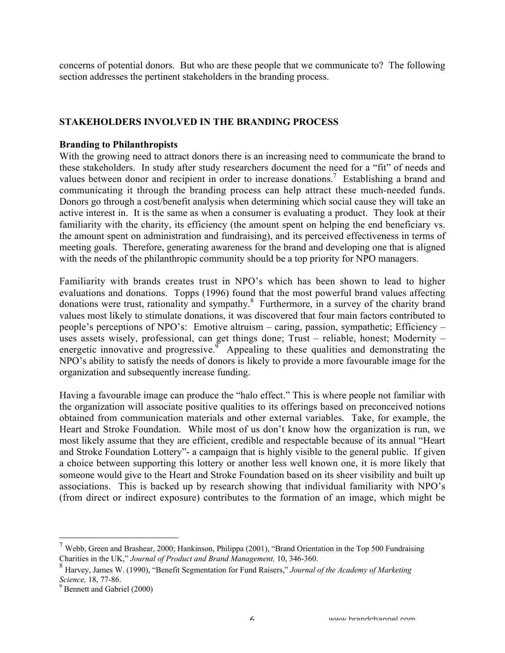concerns of potential donors. But who are these people that we communicate to? The following section addresses the pertinent stakeholders in the branding process.

## **STAKEHOLDERS INVOLVED IN THE BRANDING PROCESS**

#### **Branding to Philanthropists**

With the growing need to attract donors there is an increasing need to communicate the brand to these stakeholders. In study after study researchers document the need for a "fit" of needs and values between donor and recipient in order to increase donations.<sup>7</sup> Establishing a brand and communicating it through the branding process can help attract these much-needed funds. Donors go through a cost/benefit analysis when determining which social cause they will take an active interest in. It is the same as when a consumer is evaluating a product. They look at their familiarity with the charity, its efficiency (the amount spent on helping the end beneficiary vs. the amount spent on administration and fundraising), and its perceived effectiveness in terms of meeting goals. Therefore, generating awareness for the brand and developing one that is aligned with the needs of the philanthropic community should be a top priority for NPO managers.

Familiarity with brands creates trust in NPO's which has been shown to lead to higher evaluations and donations. Topps (1996) found that the most powerful brand values affecting donations were trust, rationality and sympathy.<sup>8</sup> Furthermore, in a survey of the charity brand values most likely to stimulate donations, it was discovered that four main factors contributed to people's perceptions of NPO's: Emotive altruism – caring, passion, sympathetic; Efficiency – uses assets wisely, professional, can get things done; Trust – reliable, honest; Modernity – energetic innovative and progressive. Appealing to these qualities and demonstrating the NPO's ability to satisfy the needs of donors is likely to provide a more favourable image for the organization and subsequently increase funding.

Having a favourable image can produce the "halo effect." This is where people not familiar with the organization will associate positive qualities to its offerings based on preconceived notions obtained from communication materials and other external variables. Take, for example, the Heart and Stroke Foundation. While most of us don't know how the organization is run, we most likely assume that they are efficient, credible and respectable because of its annual "Heart and Stroke Foundation Lottery"- a campaign that is highly visible to the general public. If given a choice between supporting this lottery or another less well known one, it is more likely that someone would give to the Heart and Stroke Foundation based on its sheer visibility and built up associations. This is backed up by research showing that individual familiarity with NPO's (from direct or indirect exposure) contributes to the formation of an image, which might be

<sup>&</sup>lt;sup>7</sup> Webb, Green and Brashear, 2000; Hankinson, Philippa (2001), "Brand Orientation in the Top 500 Fundraising Charities in the UK," *Journal of Product and Brand Management,* 10, 346-360.

<sup>8</sup> Harvey, James W. (1990), "Benefit Segmentation for Fund Raisers," *Journal of the Academy of Marketing Science*, 18, 77-86.

 $9$  Bennett and Gabriel (2000)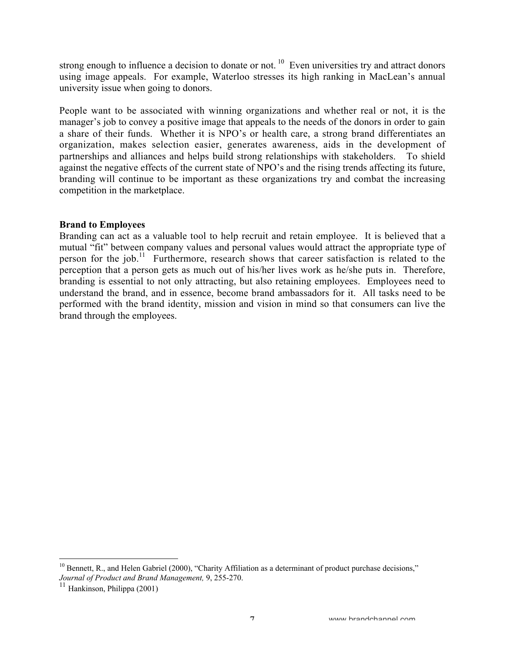strong enough to influence a decision to donate or not.  $10$  Even universities try and attract donors using image appeals. For example, Waterloo stresses its high ranking in MacLean's annual university issue when going to donors.

People want to be associated with winning organizations and whether real or not, it is the manager's job to convey a positive image that appeals to the needs of the donors in order to gain a share of their funds. Whether it is NPO's or health care, a strong brand differentiates an organization, makes selection easier, generates awareness, aids in the development of partnerships and alliances and helps build strong relationships with stakeholders. To shield against the negative effects of the current state of NPO's and the rising trends affecting its future, branding will continue to be important as these organizations try and combat the increasing competition in the marketplace.

## **Brand to Employees**

Branding can act as a valuable tool to help recruit and retain employee. It is believed that a mutual "fit" between company values and personal values would attract the appropriate type of person for the job.<sup>11</sup> Furthermore, research shows that career satisfaction is related to the perception that a person gets as much out of his/her lives work as he/she puts in. Therefore, branding is essential to not only attracting, but also retaining employees. Employees need to understand the brand, and in essence, become brand ambassadors for it. All tasks need to be performed with the brand identity, mission and vision in mind so that consumers can live the brand through the employees.

<sup>&</sup>lt;sup>10</sup> Bennett, R., and Helen Gabriel (2000), "Charity Affiliation as a determinant of product purchase decisions," *Journal of Product and Brand Management,* 9, 255-270.

<sup>&</sup>lt;sup>11</sup> Hankinson, Philippa (2001)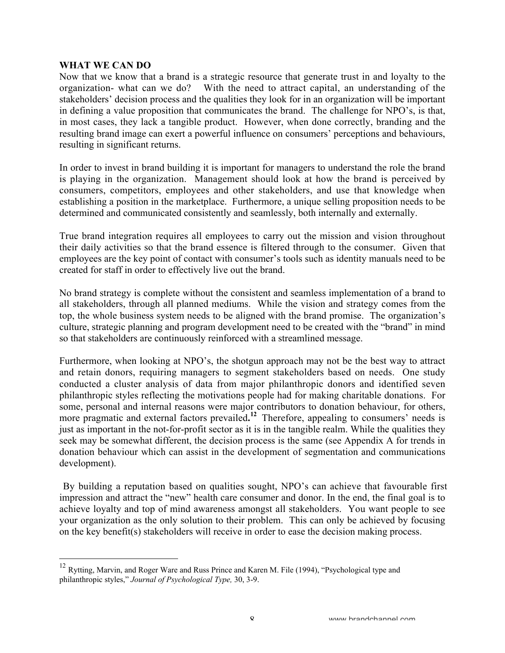#### **WHAT WE CAN DO**

Now that we know that a brand is a strategic resource that generate trust in and loyalty to the organization- what can we do? With the need to attract capital, an understanding of the stakeholders' decision process and the qualities they look for in an organization will be important in defining a value proposition that communicates the brand. The challenge for NPO's, is that, in most cases, they lack a tangible product. However, when done correctly, branding and the resulting brand image can exert a powerful influence on consumers' perceptions and behaviours, resulting in significant returns.

In order to invest in brand building it is important for managers to understand the role the brand is playing in the organization. Management should look at how the brand is perceived by consumers, competitors, employees and other stakeholders, and use that knowledge when establishing a position in the marketplace. Furthermore, a unique selling proposition needs to be determined and communicated consistently and seamlessly, both internally and externally.

True brand integration requires all employees to carry out the mission and vision throughout their daily activities so that the brand essence is filtered through to the consumer. Given that employees are the key point of contact with consumer's tools such as identity manuals need to be created for staff in order to effectively live out the brand.

No brand strategy is complete without the consistent and seamless implementation of a brand to all stakeholders, through all planned mediums. While the vision and strategy comes from the top, the whole business system needs to be aligned with the brand promise. The organization's culture, strategic planning and program development need to be created with the "brand" in mind so that stakeholders are continuously reinforced with a streamlined message.

Furthermore, when looking at NPO's, the shotgun approach may not be the best way to attract and retain donors, requiring managers to segment stakeholders based on needs. One study conducted a cluster analysis of data from major philanthropic donors and identified seven philanthropic styles reflecting the motivations people had for making charitable donations. For some, personal and internal reasons were major contributors to donation behaviour, for others, more pragmatic and external factors prevailed.<sup>12</sup> Therefore, appealing to consumers' needs is just as important in the not-for-profit sector as it is in the tangible realm. While the qualities they seek may be somewhat different, the decision process is the same (see Appendix A for trends in donation behaviour which can assist in the development of segmentation and communications development).

By building a reputation based on qualities sought, NPO's can achieve that favourable first impression and attract the "new" health care consumer and donor. In the end, the final goal is to achieve loyalty and top of mind awareness amongst all stakeholders. You want people to see your organization as the only solution to their problem. This can only be achieved by focusing on the key benefit(s) stakeholders will receive in order to ease the decision making process.

 <sup>12</sup> Rytting, Marvin, and Roger Ware and Russ Prince and Karen M. File (1994), "Psychological type and philanthropic styles," *Journal of Psychological Type,* 30, 3-9.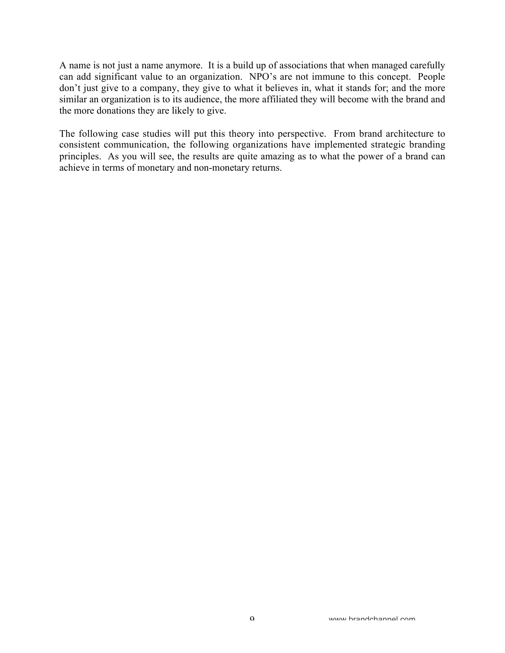A name is not just a name anymore. It is a build up of associations that when managed carefully can add significant value to an organization. NPO's are not immune to this concept. People don't just give to a company, they give to what it believes in, what it stands for; and the more similar an organization is to its audience, the more affiliated they will become with the brand and the more donations they are likely to give.

The following case studies will put this theory into perspective. From brand architecture to consistent communication, the following organizations have implemented strategic branding principles. As you will see, the results are quite amazing as to what the power of a brand can achieve in terms of monetary and non-monetary returns.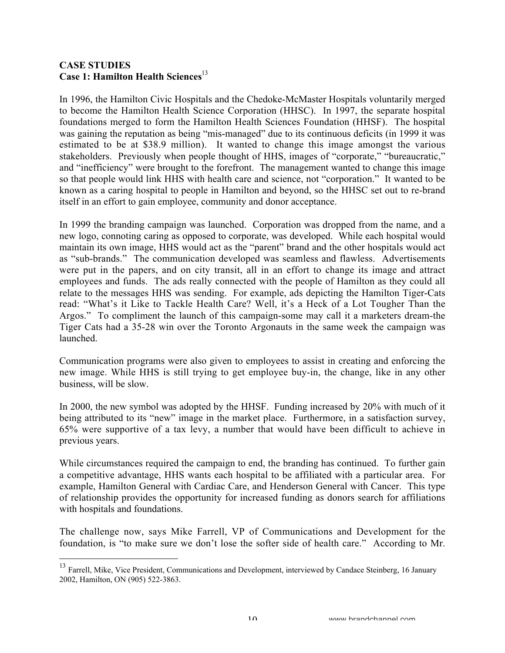## **CASE STUDIES Case 1: Hamilton Health Sciences**<sup>13</sup>

In 1996, the Hamilton Civic Hospitals and the Chedoke-McMaster Hospitals voluntarily merged to become the Hamilton Health Science Corporation (HHSC). In 1997, the separate hospital foundations merged to form the Hamilton Health Sciences Foundation (HHSF). The hospital was gaining the reputation as being "mis-managed" due to its continuous deficits (in 1999 it was estimated to be at \$38.9 million). It wanted to change this image amongst the various stakeholders. Previously when people thought of HHS, images of "corporate," "bureaucratic," and "inefficiency" were brought to the forefront. The management wanted to change this image so that people would link HHS with health care and science, not "corporation." It wanted to be known as a caring hospital to people in Hamilton and beyond, so the HHSC set out to re-brand itself in an effort to gain employee, community and donor acceptance.

In 1999 the branding campaign was launched. Corporation was dropped from the name, and a new logo, connoting caring as opposed to corporate, was developed. While each hospital would maintain its own image, HHS would act as the "parent" brand and the other hospitals would act as "sub-brands." The communication developed was seamless and flawless. Advertisements were put in the papers, and on city transit, all in an effort to change its image and attract employees and funds. The ads really connected with the people of Hamilton as they could all relate to the messages HHS was sending. For example, ads depicting the Hamilton Tiger-Cats read: "What's it Like to Tackle Health Care? Well, it's a Heck of a Lot Tougher Than the Argos." To compliment the launch of this campaign-some may call it a marketers dream-the Tiger Cats had a 35-28 win over the Toronto Argonauts in the same week the campaign was launched.

Communication programs were also given to employees to assist in creating and enforcing the new image. While HHS is still trying to get employee buy-in, the change, like in any other business, will be slow.

In 2000, the new symbol was adopted by the HHSF. Funding increased by 20% with much of it being attributed to its "new" image in the market place. Furthermore, in a satisfaction survey, 65% were supportive of a tax levy, a number that would have been difficult to achieve in previous years.

While circumstances required the campaign to end, the branding has continued. To further gain a competitive advantage, HHS wants each hospital to be affiliated with a particular area. For example, Hamilton General with Cardiac Care, and Henderson General with Cancer. This type of relationship provides the opportunity for increased funding as donors search for affiliations with hospitals and foundations.

The challenge now, says Mike Farrell, VP of Communications and Development for the foundation, is "to make sure we don't lose the softer side of health care." According to Mr.

<sup>&</sup>lt;sup>13</sup> Farrell, Mike, Vice President, Communications and Development, interviewed by Candace Steinberg, 16 January 2002, Hamilton, ON (905) 522-3863.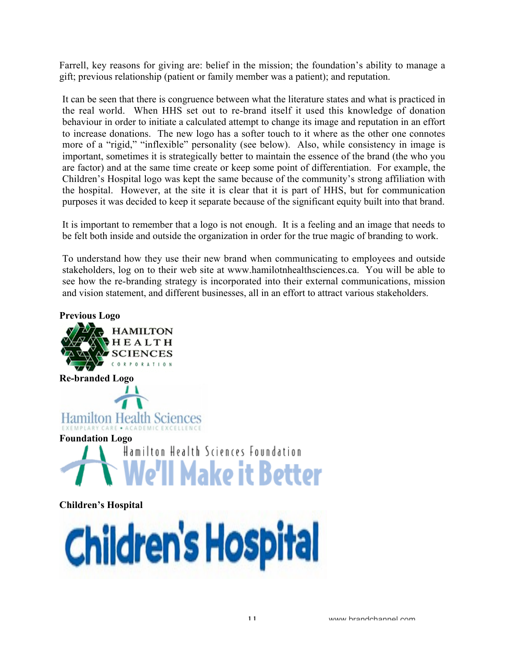Farrell, key reasons for giving are: belief in the mission; the foundation's ability to manage a gift; previous relationship (patient or family member was a patient); and reputation.

It can be seen that there is congruence between what the literature states and what is practiced in the real world. When HHS set out to re-brand itself it used this knowledge of donation behaviour in order to initiate a calculated attempt to change its image and reputation in an effort to increase donations. The new logo has a softer touch to it where as the other one connotes more of a "rigid," "inflexible" personality (see below). Also, while consistency in image is important, sometimes it is strategically better to maintain the essence of the brand (the who you are factor) and at the same time create or keep some point of differentiation. For example, the Children's Hospital logo was kept the same because of the community's strong affiliation with the hospital. However, at the site it is clear that it is part of HHS, but for communication purposes it was decided to keep it separate because of the significant equity built into that brand.

It is important to remember that a logo is not enough. It is a feeling and an image that needs to be felt both inside and outside the organization in order for the true magic of branding to work.

To understand how they use their new brand when communicating to employees and outside stakeholders, log on to their web site at www.hamilotnhealthsciences.ca. You will be able to see how the re-branding strategy is incorporated into their external communications, mission and vision statement, and different businesses, all in an effort to attract various stakeholders.



**Children's Hospital**

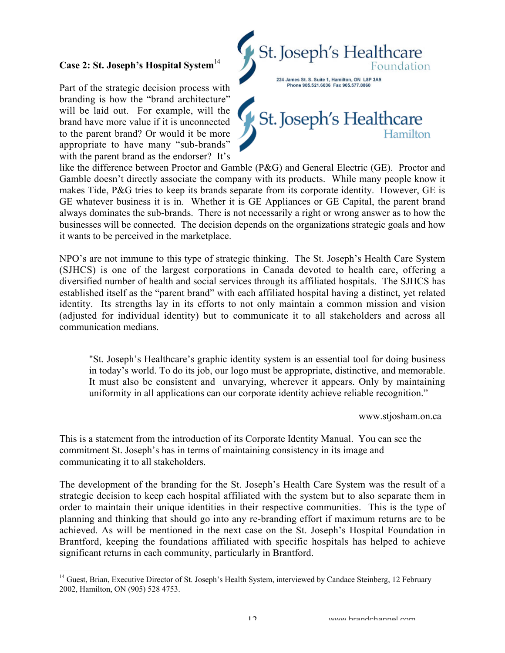# **Case 2: St. Joseph's Hospital System**<sup>14</sup>

Part of the strategic decision process with branding is how the "brand architecture" will be laid out. For example, will the brand have more value if it is unconnected to the parent brand? Or would it be more appropriate to have many "sub-brands" with the parent brand as the endorser? It's



like the difference between Proctor and Gamble (P&G) and General Electric (GE). Proctor and Gamble doesn't directly associate the company with its products. While many people know it makes Tide, P&G tries to keep its brands separate from its corporate identity. However, GE is GE whatever business it is in. Whether it is GE Appliances or GE Capital, the parent brand always dominates the sub-brands. There is not necessarily a right or wrong answer as to how the businesses will be connected. The decision depends on the organizations strategic goals and how it wants to be perceived in the marketplace.

NPO's are not immune to this type of strategic thinking. The St. Joseph's Health Care System (SJHCS) is one of the largest corporations in Canada devoted to health care, offering a diversified number of health and social services through its affiliated hospitals. The SJHCS has established itself as the "parent brand" with each affiliated hospital having a distinct, yet related identity. Its strengths lay in its efforts to not only maintain a common mission and vision (adjusted for individual identity) but to communicate it to all stakeholders and across all communication medians.

"St. Joseph's Healthcare's graphic identity system is an essential tool for doing business in today's world. To do its job, our logo must be appropriate, distinctive, and memorable. It must also be consistent and unvarying, wherever it appears. Only by maintaining uniformity in all applications can our corporate identity achieve reliable recognition."

www.stjosham.on.ca

This is a statement from the introduction of its Corporate Identity Manual. You can see the commitment St. Joseph's has in terms of maintaining consistency in its image and communicating it to all stakeholders.

The development of the branding for the St. Joseph's Health Care System was the result of a strategic decision to keep each hospital affiliated with the system but to also separate them in order to maintain their unique identities in their respective communities. This is the type of planning and thinking that should go into any re-branding effort if maximum returns are to be achieved. As will be mentioned in the next case on the St. Joseph's Hospital Foundation in Brantford, keeping the foundations affiliated with specific hospitals has helped to achieve significant returns in each community, particularly in Brantford.

<sup>&</sup>lt;sup>14</sup> Guest, Brian, Executive Director of St. Joseph's Health System, interviewed by Candace Steinberg, 12 February 2002, Hamilton, ON (905) 528 4753.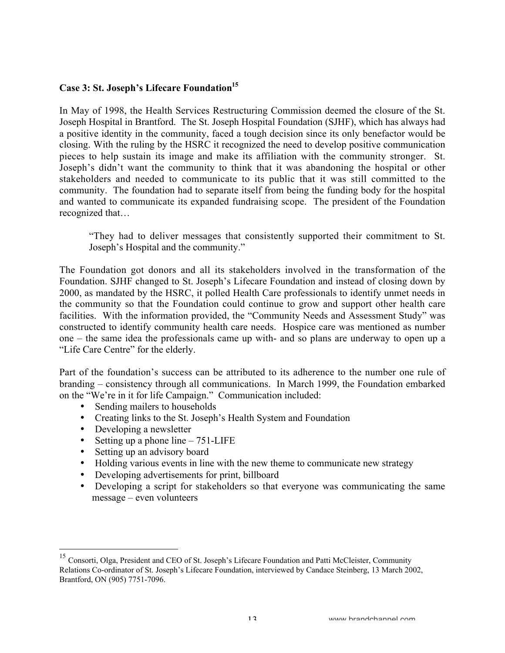# Case 3: St. Joseph's Lifecare Foundation<sup>15</sup>

In May of 1998, the Health Services Restructuring Commission deemed the closure of the St. Joseph Hospital in Brantford. The St. Joseph Hospital Foundation (SJHF), which has always had a positive identity in the community, faced a tough decision since its only benefactor would be closing. With the ruling by the HSRC it recognized the need to develop positive communication pieces to help sustain its image and make its affiliation with the community stronger. St. Joseph's didn't want the community to think that it was abandoning the hospital or other stakeholders and needed to communicate to its public that it was still committed to the community. The foundation had to separate itself from being the funding body for the hospital and wanted to communicate its expanded fundraising scope. The president of the Foundation recognized that…

"They had to deliver messages that consistently supported their commitment to St. Joseph's Hospital and the community."

The Foundation got donors and all its stakeholders involved in the transformation of the Foundation. SJHF changed to St. Joseph's Lifecare Foundation and instead of closing down by 2000, as mandated by the HSRC, it polled Health Care professionals to identify unmet needs in the community so that the Foundation could continue to grow and support other health care facilities. With the information provided, the "Community Needs and Assessment Study" was constructed to identify community health care needs. Hospice care was mentioned as number one – the same idea the professionals came up with- and so plans are underway to open up a "Life Care Centre" for the elderly.

Part of the foundation's success can be attributed to its adherence to the number one rule of branding – consistency through all communications. In March 1999, the Foundation embarked on the "We're in it for life Campaign." Communication included:

Sending mailers to households Creating links to the St. Joseph's Health System and Foundation Developing a newsletter Setting up a phone line – 751-LIFE Setting up an advisory board Holding various events in line with the new theme to communicate new strategy Developing advertisements for print, billboard Developing a script for stakeholders so that everyone was communicating the same message – even volunteers

 <sup>15</sup> Consorti, Olga, President and CEO of St. Joseph's Lifecare Foundation and Patti McCleister, Community Relations Co-ordinator of St. Joseph's Lifecare Foundation, interviewed by Candace Steinberg, 13 March 2002, Brantford, ON (905) 7751-7096.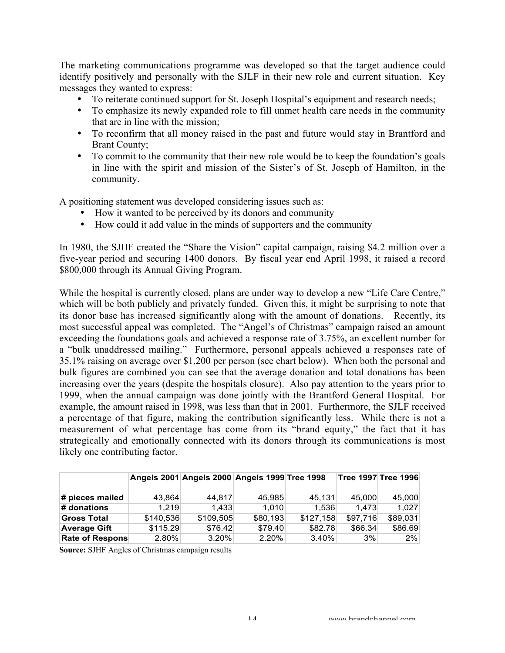The marketing communications programme was developed so that the target audience could identify positively and personally with the SJLF in their new role and current situation. Key messages they wanted to express:

To reiterate continued support for St. Joseph Hospital's equipment and research needs;

To emphasize its newly expanded role to fill unmet health care needs in the community that are in line with the mission;

To reconfirm that all money raised in the past and future would stay in Brantford and Brant County;

To commit to the community that their new role would be to keep the foundation's goals in line with the spirit and mission of the Sister's of St. Joseph of Hamilton, in the community.

A positioning statement was developed considering issues such as:

How it wanted to be perceived by its donors and community

How could it add value in the minds of supporters and the community

In 1980, the SJHF created the "Share the Vision" capital campaign, raising \$4.2 million over a five-year period and securing 1400 donors. By fiscal year end April 1998, it raised a record \$800,000 through its Annual Giving Program.

While the hospital is currently closed, plans are under way to develop a new "Life Care Centre," which will be both publicly and privately funded. Given this, it might be surprising to note that its donor base has increased significantly along with the amount of donations. Recently, its most successful appeal was completed. The "Angel's of Christmas" campaign raised an amount exceeding the foundations goals and achieved a response rate of 3.75%, an excellent number for a "bulk unaddressed mailing." Furthermore, personal appeals achieved a responses rate of 35.1% raising on average over \$1,200 per person (see chart below). When both the personal and bulk figures are combined you can see that the average donation and total donations has been increasing over the years (despite the hospitals closure). Also pay attention to the years prior to 1999, when the annual campaign was done jointly with the Brantford General Hospital. For example, the amount raised in 1998, was less than that in 2001. Furthermore, the SJLF received a percentage of that figure, making the contribution significantly less. While there is not a measurement of what percentage has come from its "brand equity," the fact that it has strategically and emotionally connected with its donors through its communications is most likely one contributing factor.

|                        |           | Angels 2001 Angels 2000 Angels 1999 Tree 1998 |          |           |          | ∣Tree 1997 Tree 1996 |
|------------------------|-----------|-----------------------------------------------|----------|-----------|----------|----------------------|
|                        |           |                                               |          |           |          |                      |
| # pieces mailed        | 43,864    | 44.817                                        | 45,985   | 45.131    | 45,000   | 45,000               |
| $\#$ donations         | 1.219     | 1.433                                         | 1.010    | 1.536     | 1.473    | 1.027                |
| <b>Gross Total</b>     | \$140,536 | \$109.505                                     | \$80.193 | \$127.158 | \$97.716 | \$89,031             |
| <b>Average Gift</b>    | \$115.29  | \$76.42                                       | \$79.40  | \$82.78   | \$66.34  | \$86.69              |
| <b>Rate of Respons</b> | $2.80\%$  | $3.20\%$                                      | 2.20%    | 3.40%     | 3%       | 2%                   |

**Source:** SJHF Angles of Christmas campaign results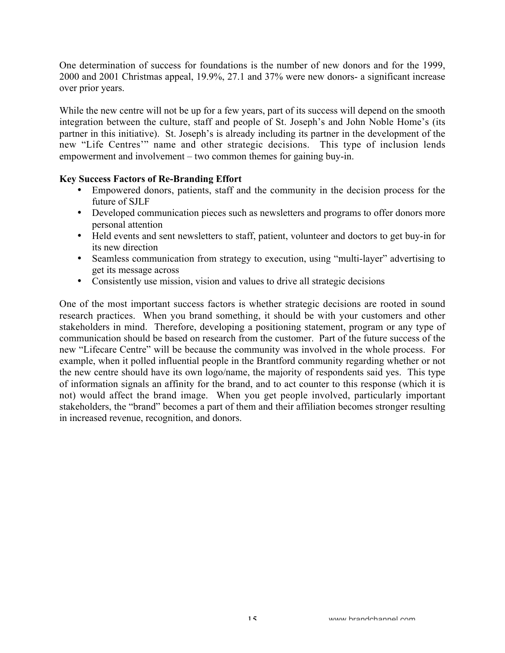One determination of success for foundations is the number of new donors and for the 1999, 2000 and 2001 Christmas appeal, 19.9%, 27.1 and 37% were new donors- a significant increase over prior years.

While the new centre will not be up for a few years, part of its success will depend on the smooth integration between the culture, staff and people of St. Joseph's and John Noble Home's (its partner in this initiative). St. Joseph's is already including its partner in the development of the new "Life Centres'" name and other strategic decisions. This type of inclusion lends empowerment and involvement – two common themes for gaining buy-in.

## **Key Success Factors of Re-Branding Effort**

Empowered donors, patients, staff and the community in the decision process for the future of SJLF

Developed communication pieces such as newsletters and programs to offer donors more personal attention

Held events and sent newsletters to staff, patient, volunteer and doctors to get buy-in for its new direction

Seamless communication from strategy to execution, using "multi-layer" advertising to get its message across

Consistently use mission, vision and values to drive all strategic decisions

One of the most important success factors is whether strategic decisions are rooted in sound research practices. When you brand something, it should be with your customers and other stakeholders in mind. Therefore, developing a positioning statement, program or any type of communication should be based on research from the customer. Part of the future success of the new "Lifecare Centre" will be because the community was involved in the whole process. For example, when it polled influential people in the Brantford community regarding whether or not the new centre should have its own logo/name, the majority of respondents said yes. This type of information signals an affinity for the brand, and to act counter to this response (which it is not) would affect the brand image. When you get people involved, particularly important stakeholders, the "brand" becomes a part of them and their affiliation becomes stronger resulting in increased revenue, recognition, and donors.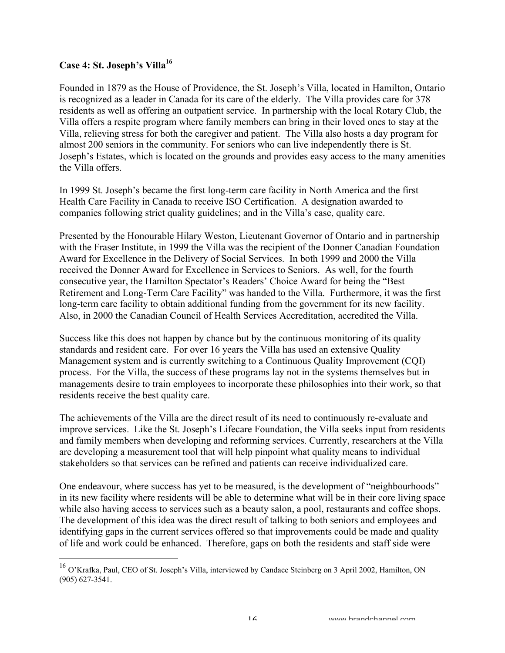## **Case 4: St. Joseph's Villa16**

Founded in 1879 as the House of Providence, the St. Joseph's Villa, located in Hamilton, Ontario is recognized as a leader in Canada for its care of the elderly. The Villa provides care for 378 residents as well as offering an outpatient service. In partnership with the local Rotary Club, the Villa offers a respite program where family members can bring in their loved ones to stay at the Villa, relieving stress for both the caregiver and patient. The Villa also hosts a day program for almost 200 seniors in the community. For seniors who can live independently there is St. Joseph's Estates, which is located on the grounds and provides easy access to the many amenities the Villa offers.

In 1999 St. Joseph's became the first long-term care facility in North America and the first Health Care Facility in Canada to receive ISO Certification. A designation awarded to companies following strict quality guidelines; and in the Villa's case, quality care.

Presented by the Honourable Hilary Weston, Lieutenant Governor of Ontario and in partnership with the Fraser Institute, in 1999 the Villa was the recipient of the Donner Canadian Foundation Award for Excellence in the Delivery of Social Services. In both 1999 and 2000 the Villa received the Donner Award for Excellence in Services to Seniors. As well, for the fourth consecutive year, the Hamilton Spectator's Readers' Choice Award for being the "Best Retirement and Long-Term Care Facility" was handed to the Villa. Furthermore, it was the first long-term care facility to obtain additional funding from the government for its new facility. Also, in 2000 the Canadian Council of Health Services Accreditation, accredited the Villa.

Success like this does not happen by chance but by the continuous monitoring of its quality standards and resident care. For over 16 years the Villa has used an extensive Quality Management system and is currently switching to a Continuous Quality Improvement (CQI) process. For the Villa, the success of these programs lay not in the systems themselves but in managements desire to train employees to incorporate these philosophies into their work, so that residents receive the best quality care.

The achievements of the Villa are the direct result of its need to continuously re-evaluate and improve services. Like the St. Joseph's Lifecare Foundation, the Villa seeks input from residents and family members when developing and reforming services. Currently, researchers at the Villa are developing a measurement tool that will help pinpoint what quality means to individual stakeholders so that services can be refined and patients can receive individualized care.

One endeavour, where success has yet to be measured, is the development of "neighbourhoods" in its new facility where residents will be able to determine what will be in their core living space while also having access to services such as a beauty salon, a pool, restaurants and coffee shops. The development of this idea was the direct result of talking to both seniors and employees and identifying gaps in the current services offered so that improvements could be made and quality of life and work could be enhanced. Therefore, gaps on both the residents and staff side were

 <sup>16</sup> O'Krafka, Paul, CEO of St. Joseph's Villa, interviewed by Candace Steinberg on 3 April 2002, Hamilton, ON (905) 627-3541.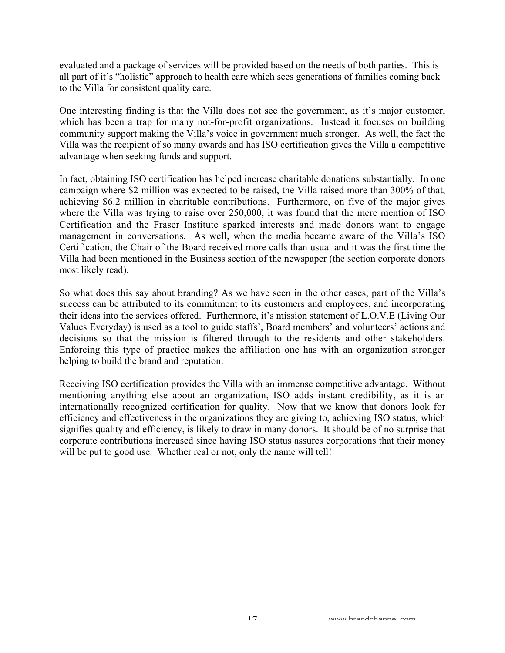evaluated and a package of services will be provided based on the needs of both parties. This is all part of it's "holistic" approach to health care which sees generations of families coming back to the Villa for consistent quality care.

One interesting finding is that the Villa does not see the government, as it's major customer, which has been a trap for many not-for-profit organizations. Instead it focuses on building community support making the Villa's voice in government much stronger. As well, the fact the Villa was the recipient of so many awards and has ISO certification gives the Villa a competitive advantage when seeking funds and support.

In fact, obtaining ISO certification has helped increase charitable donations substantially. In one campaign where \$2 million was expected to be raised, the Villa raised more than 300% of that, achieving \$6.2 million in charitable contributions. Furthermore, on five of the major gives where the Villa was trying to raise over 250,000, it was found that the mere mention of ISO Certification and the Fraser Institute sparked interests and made donors want to engage management in conversations. As well, when the media became aware of the Villa's ISO Certification, the Chair of the Board received more calls than usual and it was the first time the Villa had been mentioned in the Business section of the newspaper (the section corporate donors most likely read).

So what does this say about branding? As we have seen in the other cases, part of the Villa's success can be attributed to its commitment to its customers and employees, and incorporating their ideas into the services offered. Furthermore, it's mission statement of L.O.V.E (Living Our Values Everyday) is used as a tool to guide staffs', Board members' and volunteers' actions and decisions so that the mission is filtered through to the residents and other stakeholders. Enforcing this type of practice makes the affiliation one has with an organization stronger helping to build the brand and reputation.

Receiving ISO certification provides the Villa with an immense competitive advantage. Without mentioning anything else about an organization, ISO adds instant credibility, as it is an internationally recognized certification for quality. Now that we know that donors look for efficiency and effectiveness in the organizations they are giving to, achieving ISO status, which signifies quality and efficiency, is likely to draw in many donors. It should be of no surprise that corporate contributions increased since having ISO status assures corporations that their money will be put to good use. Whether real or not, only the name will tell!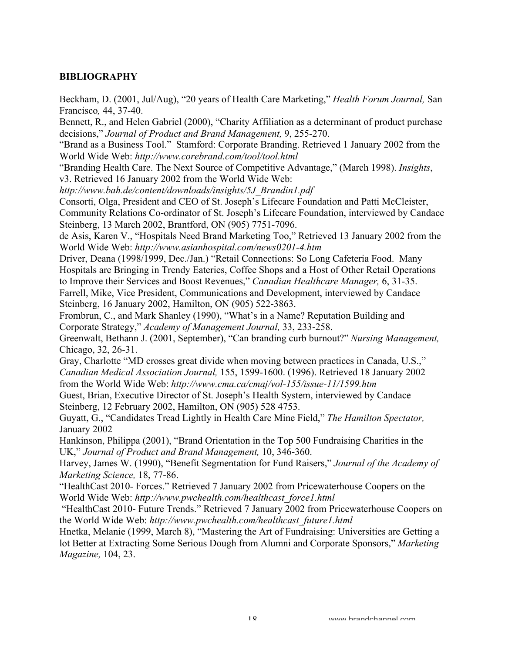## **BIBLIOGRAPHY**

Beckham, D. (2001, Jul/Aug), "20 years of Health Care Marketing," *Health Forum Journal,* San Francisco*,* 44, 37-40.

Bennett, R., and Helen Gabriel (2000), "Charity Affiliation as a determinant of product purchase decisions," *Journal of Product and Brand Management,* 9, 255-270.

"Brand as a Business Tool." Stamford: Corporate Branding. Retrieved 1 January 2002 from the World Wide Web: *http://www.corebrand.com/tool/tool.html*

"Branding Health Care. The Next Source of Competitive Advantage," (March 1998). *Insights*, v3. Retrieved 16 January 2002 from the World Wide Web:

*http://www.bah.de/content/downloads/insights/5J\_Brandin1.pdf*

Consorti, Olga, President and CEO of St. Joseph's Lifecare Foundation and Patti McCleister, Community Relations Co-ordinator of St. Joseph's Lifecare Foundation, interviewed by Candace Steinberg, 13 March 2002, Brantford, ON (905) 7751-7096.

de Asis, Karen V., "Hospitals Need Brand Marketing Too," Retrieved 13 January 2002 from the World Wide Web: *http://www.asianhospital.com/news0201-4.htm*

Driver, Deana (1998/1999, Dec./Jan.) "Retail Connections: So Long Cafeteria Food. Many Hospitals are Bringing in Trendy Eateries, Coffee Shops and a Host of Other Retail Operations to Improve their Services and Boost Revenues," *Canadian Healthcare Manager,* 6, 31-35.

Farrell, Mike, Vice President, Communications and Development, interviewed by Candace Steinberg, 16 January 2002, Hamilton, ON (905) 522-3863.

Frombrun, C., and Mark Shanley (1990), "What's in a Name? Reputation Building and Corporate Strategy," *Academy of Management Journal,* 33, 233-258.

Greenwalt, Bethann J. (2001, September), "Can branding curb burnout?" *Nursing Management,* Chicago, 32, 26-31.

Gray, Charlotte "MD crosses great divide when moving between practices in Canada, U.S.," *Canadian Medical Association Journal,* 155, 1599-1600. (1996). Retrieved 18 January 2002 from the World Wide Web: *http://www.cma.ca/cmaj/vol-155/issue-11/1599.htm*

Guest, Brian, Executive Director of St. Joseph's Health System, interviewed by Candace Steinberg, 12 February 2002, Hamilton, ON (905) 528 4753.

Guyatt, G., "Candidates Tread Lightly in Health Care Mine Field," *The Hamilton Spectator,* January 2002

Hankinson, Philippa (2001), "Brand Orientation in the Top 500 Fundraising Charities in the UK," *Journal of Product and Brand Management,* 10, 346-360.

Harvey, James W. (1990), "Benefit Segmentation for Fund Raisers," *Journal of the Academy of Marketing Science,* 18, 77-86.

"HealthCast 2010- Forces." Retrieved 7 January 2002 from Pricewaterhouse Coopers on the World Wide Web: *http://www.pwchealth.com/healthcast\_force1.html*

 "HealthCast 2010- Future Trends." Retrieved 7 January 2002 from Pricewaterhouse Coopers on the World Wide Web: *http://www.pwchealth.com/healthcast\_future1.html*

Hnetka, Melanie (1999, March 8), "Mastering the Art of Fundraising: Universities are Getting a lot Better at Extracting Some Serious Dough from Alumni and Corporate Sponsors," *Marketing Magazine,* 104, 23.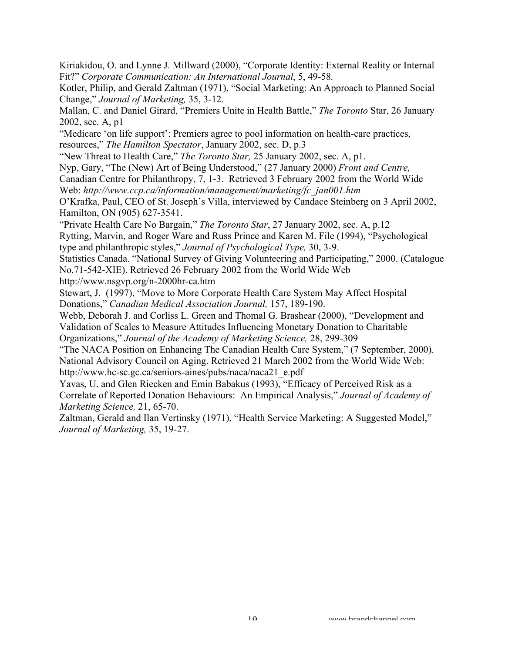Kiriakidou, O. and Lynne J. Millward (2000), "Corporate Identity: External Reality or Internal Fit?" *Corporate Communication: An International Journal*, 5, 49-58*.*

Kotler, Philip, and Gerald Zaltman (1971), "Social Marketing: An Approach to Planned Social Change," *Journal of Marketing,* 35, 3-12.

Mallan, C. and Daniel Girard, "Premiers Unite in Health Battle," *The Toronto* Star, 26 January 2002, sec. A, p1

"Medicare 'on life support': Premiers agree to pool information on health-care practices, resources," *The Hamilton Spectator*, January 2002, sec. D, p.3

"New Threat to Health Care," *The Toronto Star,* 25 January 2002, sec. A, p1.

Nyp, Gary, "The (New) Art of Being Understood," (27 January 2000) *Front and Centre,*

Canadian Centre for Philanthropy, 7, 1-3. Retrieved 3 February 2002 from the World Wide Web: *http://www.ccp.ca/information/management/marketing/fc\_jan001.htm*

O'Krafka, Paul, CEO of St. Joseph's Villa, interviewed by Candace Steinberg on 3 April 2002, Hamilton, ON (905) 627-3541.

"Private Health Care No Bargain," *The Toronto Star*, 27 January 2002, sec. A, p.12 Rytting, Marvin, and Roger Ware and Russ Prince and Karen M. File (1994), "Psychological type and philanthropic styles," *Journal of Psychological Type,* 30, 3-9.

Statistics Canada. "National Survey of Giving Volunteering and Participating," 2000. (Catalogue No.71-542-XIE). Retrieved 26 February 2002 from the World Wide Web http://www.nsgvp.org/n-2000hr-ca.htm

Stewart, J. (1997), "Move to More Corporate Health Care System May Affect Hospital Donations," *Canadian Medical Association Journal,* 157, 189-190.

Webb, Deborah J. and Corliss L. Green and Thomal G. Brashear (2000), "Development and Validation of Scales to Measure Attitudes Influencing Monetary Donation to Charitable Organizations," *Journal of the Academy of Marketing Science,* 28, 299-309

"The NACA Position on Enhancing The Canadian Health Care System," (7 September, 2000). National Advisory Council on Aging. Retrieved 21 March 2002 from the World Wide Web: http://www.hc-sc.gc.ca/seniors-aines/pubs/naca/naca21\_e.pdf

Yavas, U. and Glen Riecken and Emin Babakus (1993), "Efficacy of Perceived Risk as a Correlate of Reported Donation Behaviours: An Empirical Analysis," *Journal of Academy of Marketing Science,* 21, 65-70.

Zaltman, Gerald and Ilan Vertinsky (1971), "Health Service Marketing: A Suggested Model," *Journal of Marketing,* 35, 19-27.